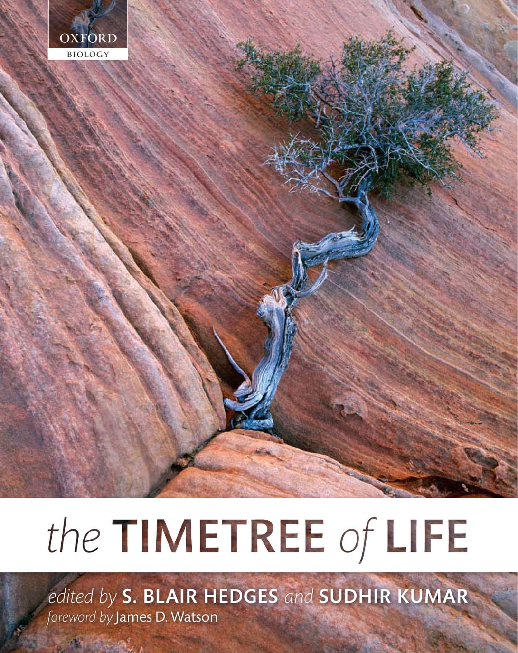

# the TIMETREE of LIFE

edited by S. BLAIR HEDGES and SUDHIR KUMAR foreword by James D. Watson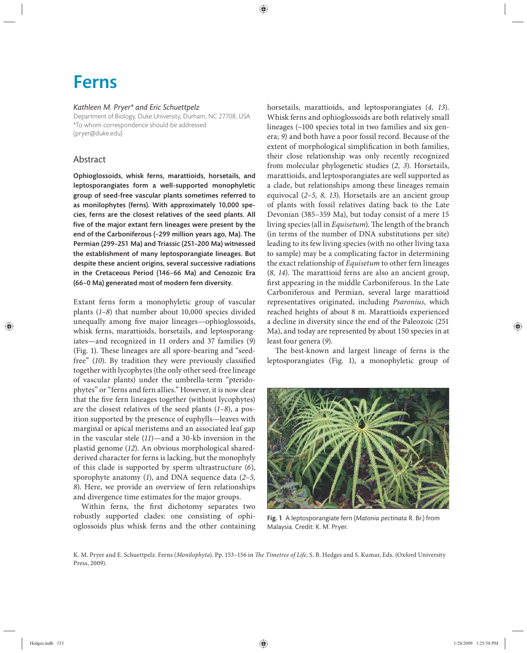# Ferns

#### *Kathleen M. Pryer\* and Eric Schuettpelz*

Department of Biology, Duke University, Durham, NC 27708, USA \*To whom correspondence should be addressed (pryer@duke.edu)

# Abstract

Ophioglossoids, whisk ferns, marattioids, horsetails, and leptosporangiates form a well-supported monophyletic group of seed-free vascular plants sometimes referred to as monilophytes (ferns). With approximately 10,000 species, ferns are the closest relatives of the seed plants. All five of the major extant fern lineages were present by the end of the Carboniferous (~299 million years ago, Ma). The Permian (299–251 Ma) and Triassic (251–200 Ma) witnessed the establishment of many leptosporangiate lineages. But despite these ancient origins, several successive radiations in the Cretaceous Period (146-66 Ma) and Cenozoic Era (66–0 Ma) generated most of modern fern diversity.

Extant ferns form a monophyletic group of vascular plants (1-8) that number about 10,000 species divided unequally among five major lineages—ophioglossoids, whisk ferns, marattioids, horsetails, and leptosporangiates—and recognized in 11 orders and 37 families (*9*) (Fig. 1). These lineages are all spore-bearing and "seedfree" (10). By tradition they were previously classified together with lycophytes (the only other seed-free lineage of vascular plants) under the umbrella-term "pteridophytes" or "ferns and fern allies." However, it is now clear that the five fern lineages together (without lycophytes) are the closest relatives of the seed plants (*1–8*), a position supported by the presence of euphylls—leaves with marginal or apical meristems and an associated leaf gap in the vascular stele (*11*)—and a 30-kb inversion in the plastid genome (*12*). An obvious morphological sharedderived character for ferns is lacking, but the monophyly of this clade is supported by sperm ultrastructure (6), sporophyte anatomy (*1*), and DNA sequence data (*2–5, 8*). Here, we provide an overview of fern relationships and divergence time estimates for the major groups.

Within ferns, the first dichotomy separates two robustly supported clades: one consisting of ophioglossoids plus whisk ferns and the other containing horsetails, marattioids, and leptosporangiates (*4, 13*). Whisk ferns and ophioglossoids are both relatively small lineages (~100 species total in two families and six genera; *9*) and both have a poor fossil record. Because of the extent of morphological simplification in both families, their close relationship was only recently recognized from molecular phylogenetic studies (2, 3). Horsetails, marattioids, and leptosporangiates are well supported as a clade, but relationships among these lineages remain equivocal (2-5, 8, 13). Horsetails are an ancient group of plants with fossil relatives dating back to the Late Devonian (385–359 Ma), but today consist of a mere 15 living species (all in *Equisetum*). The length of the branch (in terms of the number of DNA substitutions per site) leading to its few living species (with no other living taxa to sample) may be a complicating factor in determining the exact relationship of *Equisetum* to other fern lineages (8, 14). The marattioid ferns are also an ancient group, first appearing in the middle Carboniferous. In the Late Carboniferous and Permian, several large marattioid representatives originated, including *Psaronius*, which reached heights of about 8 m. Marattioids experienced a decline in diversity since the end of the Paleozoic (251 Ma), and today are represented by about 150 species in at least four genera (*9*).

The best-known and largest lineage of ferns is the leptosporangiates (Fig. 1), a monophyletic group of



Fig. 1 A leptosporangiate fern (*Matonia pectinata* R. Br.) from Malaysia. Credit: K. M. Pryer.

K. M. Pryer and E. Schuettpelz. Ferns (Monilophyta). Pp. 153-156 in *The Timetree of Life*, S. B. Hedges and S. Kumar, Eds. (Oxford University Press, 2009).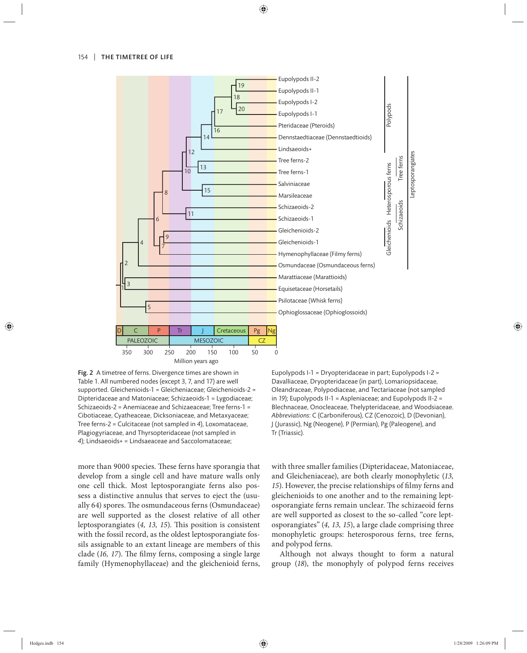

Fig. 2 A timetree of ferns. Divergence times are shown in Table 1. All numbered nodes (except 3, 7, and 17) are well supported. Gleichenioids-1 = Gleicheniaceae; Gleichenioids-2 = Dipteridaceae and Matoniaceae; Schizaeoids-1 = Lygodiaceae; Schizaeoids-2 = Anemiaceae and Schizaeaceae; Tree ferns-1 = Cibotiaceae, Cyatheaceae, Dicksoniaceae, and Metaxyaceae; Tree ferns-2 = Culcitaceae (not sampled in *4*), Loxomataceae, Plagiogyriaceae, and Thyrsopteridaceae (not sampled in *4*); Lindsaeoids+ = Lindsaeaceae and Saccolomataceae;

more than 9000 species. These ferns have sporangia that develop from a single cell and have mature walls only one cell thick. Most leptosporangiate ferns also possess a distinctive annulus that serves to eject the (usually 64) spores. The osmundaceous ferns (Osmundaceae) are well supported as the closest relative of all other leptosporangiates (4, 13, 15). This position is consistent with the fossil record, as the oldest leptosporangiate fossils assignable to an extant lineage are members of this clade (16, 17). The filmy ferns, composing a single large family (Hymenophyllaceae) and the gleichenioid ferns, Eupolypods I-1 = Dryopteridaceae in part; Eupolypods I-2 = Davalliaceae, Dryopteridaceae (in part), Lomariopsidaceae, Oleandraceae, Polypodiaceae, and Tectariaceae (not sampled in *19*); Eupolypods II-1 = Aspleniaceae; and Eupolypods II-2 = Blechnaceae, Onocleaceae, Thelypteridaceae, and Woodsiaceae. *Abbreviations*: C (Carboniferous), CZ (Cenozoic), D (Devonian), J (Jurassic), Ng (Neogene), P (Permian), Pg (Paleogene), and Tr (Triassic).

with three smaller families (Dipteridaceae, Matoniaceae, and Gleicheniaceae), are both clearly monophyletic (*13,*  15). However, the precise relationships of filmy ferns and gleichenioids to one another and to the remaining leptosporangiate ferns remain unclear. The schizaeoid ferns are well supported as closest to the so-called "core leptosporangiates" (*4, 13, 15*), a large clade comprising three monophyletic groups: heterosporous ferns, tree ferns, and polypod ferns.

Although not always thought to form a natural group (*18*), the monophyly of polypod ferns receives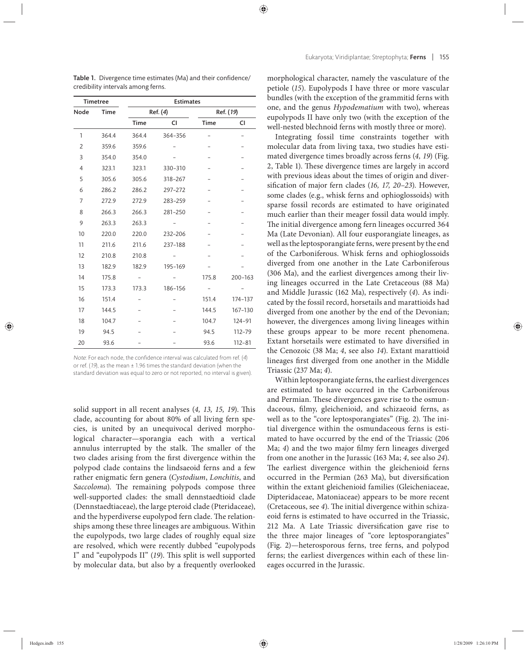| Timetree       |             |             | <b>Estimates</b> |           |             |  |
|----------------|-------------|-------------|------------------|-----------|-------------|--|
| Node           | <b>Time</b> | Ref. (4)    |                  | Ref. (19) |             |  |
|                |             | <b>Time</b> | CI               | Time      | CI          |  |
| 1              | 364.4       | 364.4       | 364-356          |           |             |  |
| $\overline{2}$ | 359.6       | 359.6       |                  |           |             |  |
| 3              | 354.0       | 354.0       |                  |           |             |  |
| $\overline{4}$ | 323.1       | 323.1       | 330-310          |           |             |  |
| 5              | 305.6       | 305.6       | 318-267          |           |             |  |
| 6              | 286.2       | 286.2       | 297-272          |           |             |  |
| 7              | 272.9       | 272.9       | 283-259          |           |             |  |
| 8              | 266.3       | 266.3       | 281-250          |           |             |  |
| 9              | 263.3       | 263.3       |                  |           |             |  |
| 10             | 220.0       | 220.0       | 232-206          |           |             |  |
| 11             | 211.6       | 211.6       | 237-188          |           |             |  |
| 12             | 210.8       | 210.8       |                  |           |             |  |
| 13             | 182.9       | 182.9       | 195-169          |           |             |  |
| 14             | 175.8       |             |                  | 175.8     | $200 - 163$ |  |
| 15             | 173.3       | 173.3       | 186-156          |           |             |  |
| 16             | 151.4       |             |                  | 151.4     | 174-137     |  |
| 17             | 144.5       |             |                  | 144.5     | 167-130     |  |
| 18             | 104.7       |             |                  | 104.7     | 124-91      |  |
| 19             | 94.5        |             |                  | 94.5      | 112-79      |  |
| 20             | 93.6        |             |                  | 93.6      | $112 - 81$  |  |

Table 1. Divergence time estimates (Ma) and their confidence/ credibility intervals among ferns.

Note: For each node, the confidence interval was calculated from ref. (4) or ref. (19), as the mean  $\pm$  1.96 times the standard deviation (when the standard deviation was equal to zero or not reported, no interval is given).

solid support in all recent analyses (4, 13, 15, 19). This clade, accounting for about 80% of all living fern species, is united by an unequivocal derived morphological character—sporangia each with a vertical annulus interrupted by the stalk. The smaller of the two clades arising from the first divergence within the polypod clade contains the lindsaeoid ferns and a few rather enigmatic fern genera (*Cystodium*, *Lonchitis*, and Saccoloma). The remaining polypods compose three well-supported clades: the small dennstaedtioid clade (Dennstaedtiaceae), the large pteroid clade (Pteridaceae), and the hyperdiverse eupolypod fern clade. The relationships among these three lineages are ambiguous. Within the eupolypods, two large clades of roughly equal size are resolved, which were recently dubbed "eupolypods I" and "eupolypods II" (19). This split is well supported by molecular data, but also by a frequently overlooked

morphological character, namely the vasculature of the petiole (15). Eupolypods I have three or more vascular bundles (with the exception of the grammitid ferns with one, and the genus *Hypodematium* with two), whereas eupolypods II have only two (with the exception of the well-nested blechnoid ferns with mostly three or more).

Integrating fossil time constraints together with molecular data from living taxa, two studies have estimated divergence times broadly across ferns (*4, 19*) (Fig. 2, Table 1). These divergence times are largely in accord with previous ideas about the times of origin and diversification of major fern clades (16, 17, 20–23). However, some clades (e.g., whisk ferns and ophioglossoids) with sparse fossil records are estimated to have originated much earlier than their meager fossil data would imply. The initial divergence among fern lineages occurred 364 Ma (Late Devonian). All four eusporangiate lineages, as well as the leptosporangiate ferns, were present by the end of the Carboniferous. Whisk ferns and ophioglossoids diverged from one another in the Late Carboniferous (306 Ma), and the earliest divergences among their living lineages occurred in the Late Cretaceous (88 Ma) and Middle Jurassic (162 Ma), respectively (*4*). As indicated by the fossil record, horsetails and marattioids had diverged from one another by the end of the Devonian; however, the divergences among living lineages within these groups appear to be more recent phenomena. Extant horsetails were estimated to have diversified in the Cenozoic (38 Ma; *4*, see also *14*). Extant marattioid lineages first diverged from one another in the Middle Triassic (237 Ma; *4*).

Within leptosporangiate ferns, the earliest divergences are estimated to have occurred in the Carboniferous and Permian. These divergences gave rise to the osmundaceous, filmy, gleichenioid, and schizaeoid ferns, as well as to the "core leptosporangiates" (Fig. 2). The initial divergence within the osmundaceous ferns is estimated to have occurred by the end of the Triassic (206 Ma; 4) and the two major filmy fern lineages diverged from one another in the Jurassic (163 Ma; *4*, see also *24*). The earliest divergence within the gleichenioid ferns  $occurred$  in the Permian  $(263 \text{ Ma})$ , but diversification within the extant gleichenioid families (Gleicheniaceae, Dipteridaceae, Matoniaceae) appears to be more recent (Cretaceous, see 4). The initial divergence within schizaeoid ferns is estimated to have occurred in the Triassic, 212 Ma. A Late Triassic diversification gave rise to the three major lineages of "core leptosporangiates" (Fig. 2)— heterosporous ferns, tree ferns, and polypod ferns; the earliest divergences within each of these lineages occurred in the Jurassic.